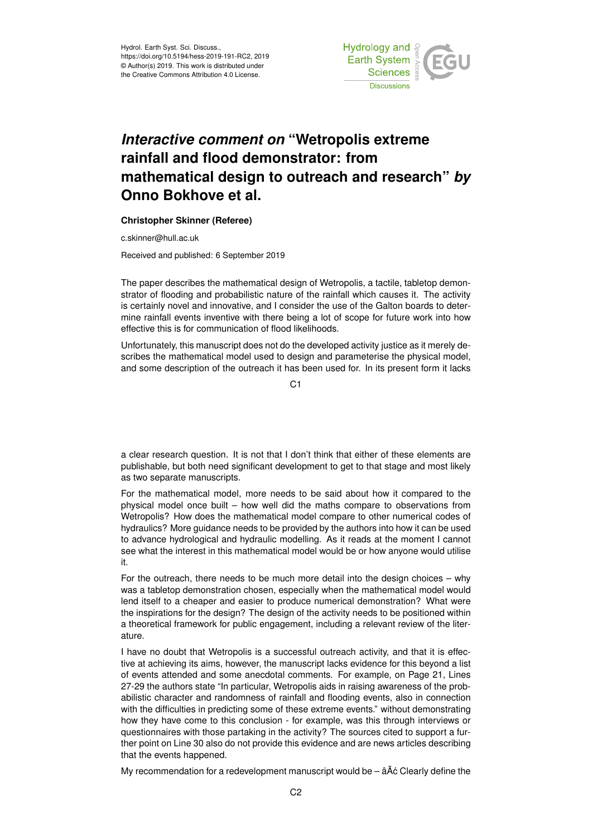

## *Interactive comment on* **"Wetropolis extreme rainfall and flood demonstrator: from mathematical design to outreach and research"** *by* **Onno Bokhove et al.**

## **Christopher Skinner (Referee)**

c.skinner@hull.ac.uk

Received and published: 6 September 2019

The paper describes the mathematical design of Wetropolis, a tactile, tabletop demonstrator of flooding and probabilistic nature of the rainfall which causes it. The activity is certainly novel and innovative, and I consider the use of the Galton boards to determine rainfall events inventive with there being a lot of scope for future work into how effective this is for communication of flood likelihoods.

Unfortunately, this manuscript does not do the developed activity justice as it merely describes the mathematical model used to design and parameterise the physical model, and some description of the outreach it has been used for. In its present form it lacks

 $C<sub>1</sub>$ 

a clear research question. It is not that I don't think that either of these elements are publishable, but both need significant development to get to that stage and most likely as two separate manuscripts.

For the mathematical model, more needs to be said about how it compared to the physical model once built – how well did the maths compare to observations from Wetropolis? How does the mathematical model compare to other numerical codes of hydraulics? More guidance needs to be provided by the authors into how it can be used to advance hydrological and hydraulic modelling. As it reads at the moment I cannot see what the interest in this mathematical model would be or how anyone would utilise it.

For the outreach, there needs to be much more detail into the design choices – why was a tabletop demonstration chosen, especially when the mathematical model would lend itself to a cheaper and easier to produce numerical demonstration? What were the inspirations for the design? The design of the activity needs to be positioned within a theoretical framework for public engagement, including a relevant review of the literature.

I have no doubt that Wetropolis is a successful outreach activity, and that it is effective at achieving its aims, however, the manuscript lacks evidence for this beyond a list of events attended and some anecdotal comments. For example, on Page 21, Lines 27-29 the authors state "In particular, Wetropolis aids in raising awareness of the probabilistic character and randomness of rainfall and flooding events, also in connection with the difficulties in predicting some of these extreme events." without demonstrating how they have come to this conclusion - for example, was this through interviews or questionnaires with those partaking in the activity? The sources cited to support a further point on Line 30 also do not provide this evidence and are news articles describing that the events happened.

My recommendation for a redevelopment manuscript would be  $\tilde{a}$  A $\tilde{c}$  Clearly define the